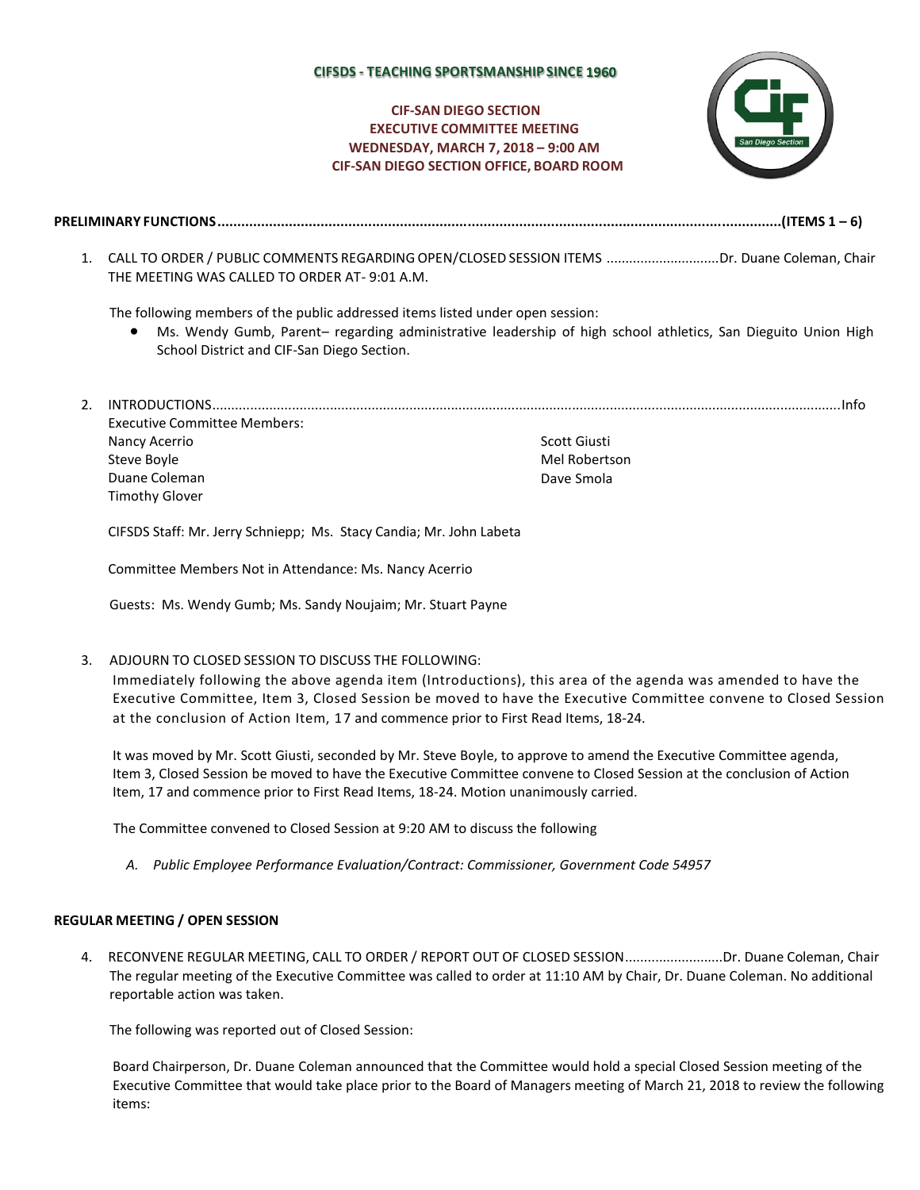## **CIFSDS - TEACHING SPORTSMANSHIP SINCE**

# **CIF-SAN DIEGO SECTION EXECUTIVE COMMITTEE MEETING WEDNESDAY, MARCH 7, 2018 – 9:00 AM CIF-SAN DIEGO SECTION OFFICE, BOARD ROOM**



- **PRELIMINARY FUNCTIONS..............................................................................................................................................(ITEMS 1 – 6)**
	- 1. CALL TO ORDER / PUBLIC COMMENTS REGARDINGOPEN/CLOSED SESSION ITEMS ..............................Dr. Duane Coleman, Chair THE MEETING WAS CALLED TO ORDER AT- 9:01 A.M.

The following members of the public addressed items listed under open session:

- Ms. Wendy Gumb, Parent– regarding administrative leadership of high school athletics, San Dieguito Union High School District and CIF-San Diego Section.
- 2. INTRODUCTIONS......................................................................................................................................................................Info Executive Committee Members: Nancy Acerrio Steve Boyle Duane Coleman Timothy Glover Scott Giusti Mel Robertson Dave Smola

CIFSDS Staff: Mr. Jerry Schniepp; Ms. Stacy Candia; Mr. John Labeta

Committee Members Not in Attendance: Ms. Nancy Acerrio

Guests: Ms. Wendy Gumb; Ms. Sandy Noujaim; Mr. Stuart Payne

3. ADJOURN TO CLOSED SESSION TO DISCUSS THE FOLLOWING:

Immediately following the above agenda item (Introductions), this area of the agenda was amended to have the Executive Committee, Item 3, Closed Session be moved to have the Executive Committee convene to Closed Session at the conclusion of Action Item, 17 and commence prior to First Read Items, 18-24.

It was moved by Mr. Scott Giusti, seconded by Mr. Steve Boyle, to approve to amend the Executive Committee agenda, Item 3, Closed Session be moved to have the Executive Committee convene to Closed Session at the conclusion of Action Item, 17 and commence prior to First Read Items, 18-24. Motion unanimously carried.

The Committee convened to Closed Session at 9:20 AM to discuss the following

*A. Public Employee Performance Evaluation/Contract: Commissioner, Government Code 54957*

#### **REGULAR MEETING / OPEN SESSION**

4. RECONVENE REGULAR MEETING, CALL TO ORDER / REPORT OUT OF CLOSED SESSION..........................Dr. Duane Coleman, Chair The regular meeting of the Executive Committee was called to order at 11:10 AM by Chair, Dr. Duane Coleman. No additional reportable action was taken.

The following was reported out of Closed Session:

Board Chairperson, Dr. Duane Coleman announced that the Committee would hold a special Closed Session meeting of the Executive Committee that would take place prior to the Board of Managers meeting of March 21, 2018 to review the following items: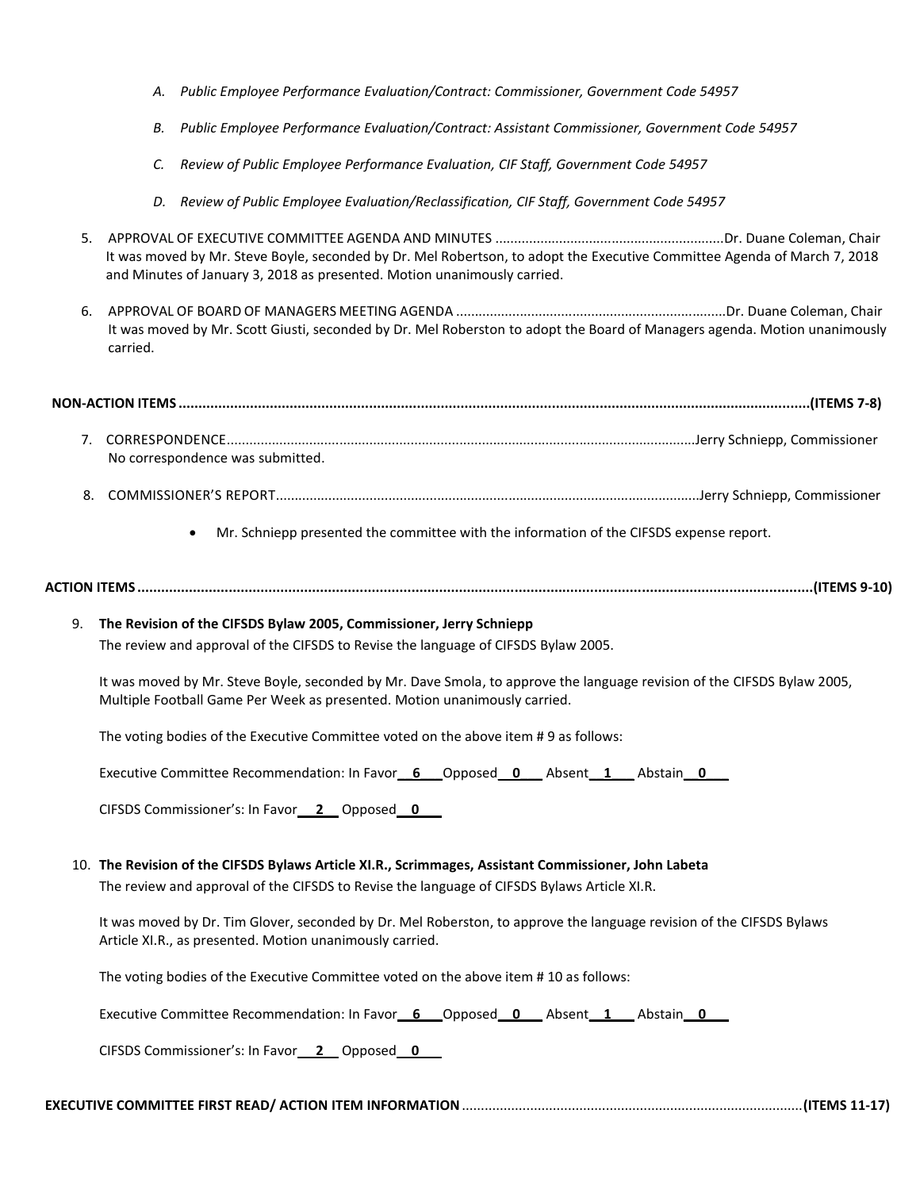- *A. Public Employee Performance Evaluation/Contract: Commissioner, Government Code 54957*
- *B. Public Employee Performance Evaluation/Contract: Assistant Commissioner, Government Code 54957*
- *C. Review of Public Employee Performance Evaluation, CIF Staff, Government Code 54957*
- *D. Review of Public Employee Evaluation/Reclassification, CIF Staff, Government Code 54957*
- 5. APPROVAL OF EXECUTIVE COMMITTEE AGENDA AND MINUTES .............................................................Dr. Duane Coleman, Chair It was moved by Mr. Steve Boyle, seconded by Dr. Mel Robertson, to adopt the Executive Committee Agenda of March 7, 2018 and Minutes of January 3, 2018 as presented. Motion unanimously carried.
- 6. APPROVAL OF BOARD OF MANAGERS MEETING AGENDA ........................................................................Dr. Duane Coleman, Chair It was moved by Mr. Scott Giusti, seconded by Dr. Mel Roberston to adopt the Board of Managers agenda. Motion unanimously carried.

- 7. CORRESPONDENCE.............................................................................................................................Jerry Schniepp, Commissioner No correspondence was submitted.
- 8. COMMISSIONER'S REPORT.................................................................................................................Jerry Schniepp, Commissioner
	- Mr. Schniepp presented the committee with the information of the CIFSDS expense report.

**ACTION ITEMS ..........................................................................................................................................................................(ITEMS 9-10)**

## 9. **The Revision of the CIFSDS Bylaw 2005, Commissioner, Jerry Schniepp**

The review and approval of the CIFSDS to Revise the language of CIFSDS Bylaw 2005.

It was moved by Mr. Steve Boyle, seconded by Mr. Dave Smola, to approve the language revision of the CIFSDS Bylaw 2005, Multiple Football Game Per Week as presented. Motion unanimously carried.

The voting bodies of the Executive Committee voted on the above item # 9 as follows:

Executive Committee Recommendation: In Favor**\_\_6\_\_\_**Opposed\_\_**0\_\_\_** Absent**\_\_1\_\_\_** Abstain**\_\_0\_\_\_**

CIFSDS Commissioner's: In Favor\_\_ **2**\_\_ Opposed\_\_**0**\_\_\_

## 10. **The Revision of the CIFSDS Bylaws Article XI.R., Scrimmages, Assistant Commissioner, John Labeta**

The review and approval of the CIFSDS to Revise the language of CIFSDS Bylaws Article XI.R.

It was moved by Dr. Tim Glover, seconded by Dr. Mel Roberston, to approve the language revision of the CIFSDS Bylaws Article XI.R., as presented. Motion unanimously carried.

The voting bodies of the Executive Committee voted on the above item # 10 as follows:

Executive Committee Recommendation: In Favor\_\_6\_\_\_\_Opposed\_\_0\_\_\_\_\_Absent\_\_1\_\_\_\_Abstain\_\_0\_\_\_\_\_\_\_\_\_\_\_\_\_\_\_\_\_\_\_\_\_\_

CIFSDS Commissioner's: In Favor\_\_ **2**\_\_ Opposed\_\_**0**\_\_\_

# **EXECUTIVE COMMITTEE FIRST READ/ ACTION ITEM INFORMATION**..........................................................................................**(ITEMS 11-17)**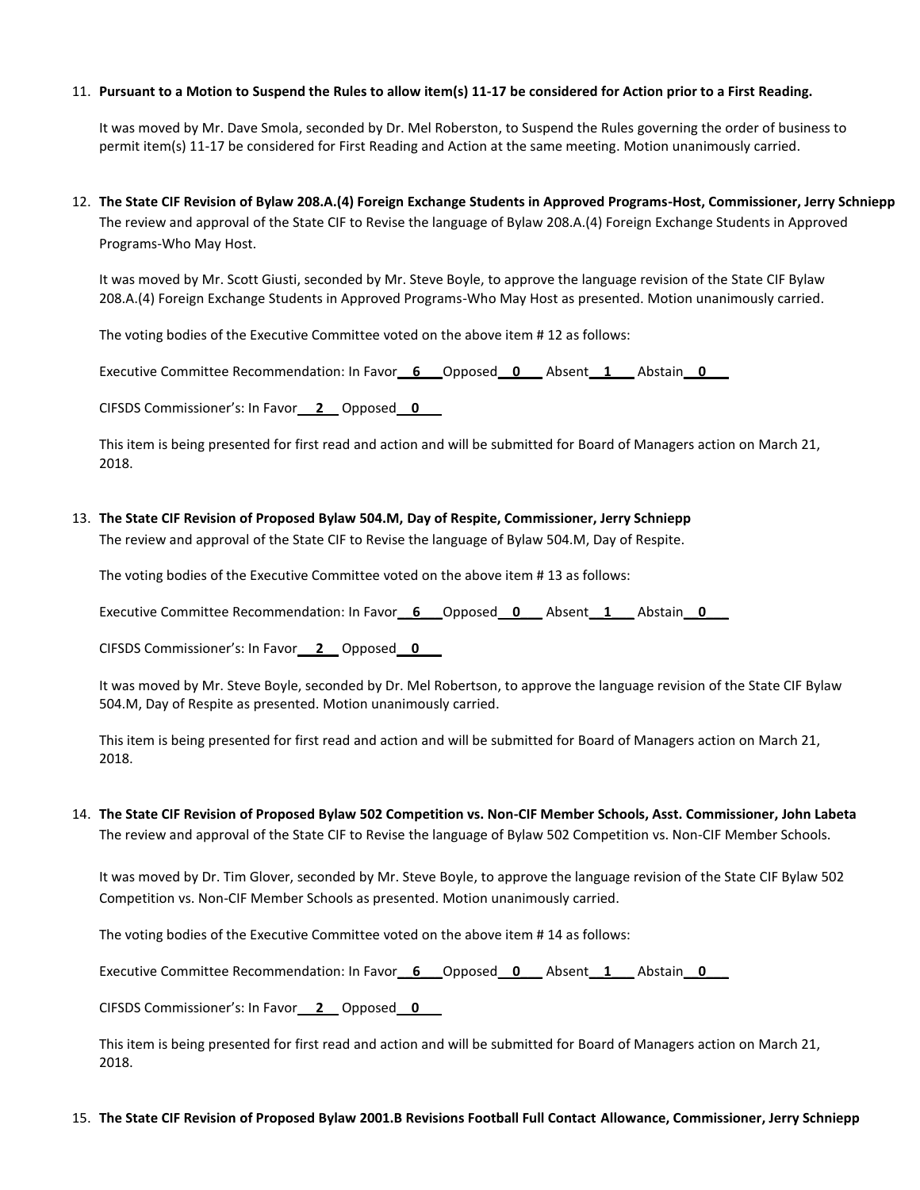### 11. **Pursuant to a Motion to Suspend the Rules to allow item(s) 11-17 be considered for Action prior to a First Reading.**

It was moved by Mr. Dave Smola, seconded by Dr. Mel Roberston, to Suspend the Rules governing the order of business to permit item(s) 11-17 be considered for First Reading and Action at the same meeting. Motion unanimously carried.

12. **The State CIF Revision of Bylaw 208.A.(4) Foreign Exchange Students in Approved Programs-Host, Commissioner, Jerry Schniepp**

The review and approval of the State CIF to Revise the language of Bylaw 208.A.(4) Foreign Exchange Students in Approved Programs-Who May Host.

It was moved by Mr. Scott Giusti, seconded by Mr. Steve Boyle, to approve the language revision of the State CIF Bylaw 208.A.(4) Foreign Exchange Students in Approved Programs-Who May Host as presented. Motion unanimously carried.

The voting bodies of the Executive Committee voted on the above item # 12 as follows:

Executive Committee Recommendation: In Favor**\_\_6\_\_\_**Opposed\_\_**0\_\_\_** Absent**\_\_1\_\_\_** Abstain**\_\_0\_\_\_**

CIFSDS Commissioner's: In Favor\_\_ **2**\_\_ Opposed\_\_**0**\_\_\_

This item is being presented for first read and action and will be submitted for Board of Managers action on March 21, 2018.

### 13. **The State CIF Revision of Proposed Bylaw 504.M, Day of Respite, Commissioner, Jerry Schniepp**

The review and approval of the State CIF to Revise the language of Bylaw 504.M, Day of Respite.

The voting bodies of the Executive Committee voted on the above item # 13 as follows:

Executive Committee Recommendation: In Favor\_\_6\_\_\_\_Opposed\_\_0\_\_\_\_\_Absent\_\_1\_\_\_\_Abstain\_\_0\_\_\_\_\_

CIFSDS Commissioner's: In Favor\_\_ **2**\_\_ Opposed\_\_**0**\_\_\_

It was moved by Mr. Steve Boyle, seconded by Dr. Mel Robertson, to approve the language revision of the State CIF Bylaw 504.M, Day of Respite as presented. Motion unanimously carried.

This item is being presented for first read and action and will be submitted for Board of Managers action on March 21, 2018.

14. **The State CIF Revision of Proposed Bylaw 502 Competition vs. Non-CIF Member Schools, Asst. Commissioner, John Labeta** The review and approval of the State CIF to Revise the language of Bylaw 502 Competition vs. Non-CIF Member Schools.

It was moved by Dr. Tim Glover, seconded by Mr. Steve Boyle, to approve the language revision of the State CIF Bylaw 502 Competition vs. Non-CIF Member Schools as presented. Motion unanimously carried.

The voting bodies of the Executive Committee voted on the above item # 14 as follows:

Executive Committee Recommendation: In Favor**\_\_6\_\_\_**Opposed\_\_**0\_\_\_** Absent**\_\_1\_\_\_** Abstain**\_\_0\_\_\_**

CIFSDS Commissioner's: In Favor\_\_ **2**\_\_ Opposed\_\_**0**\_\_\_

This item is being presented for first read and action and will be submitted for Board of Managers action on March 21, 2018.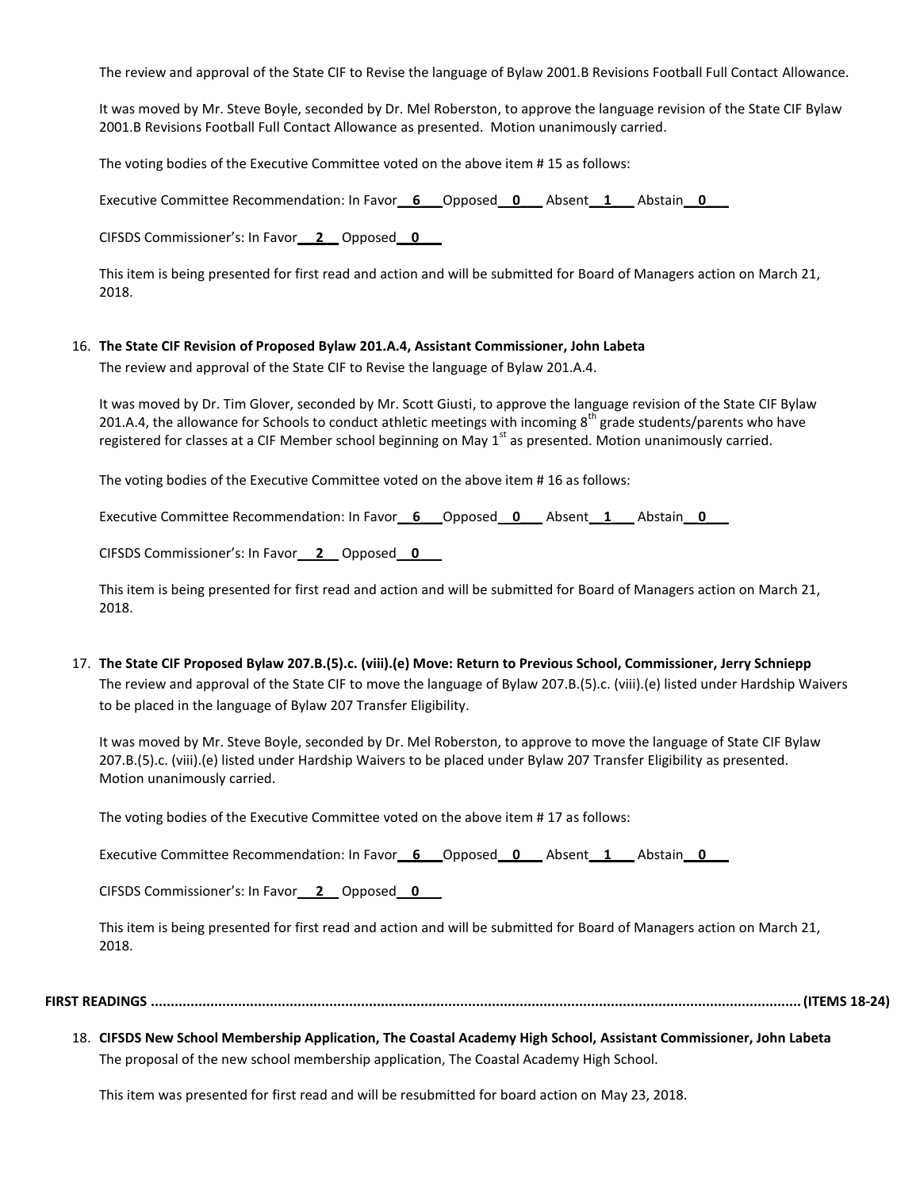The review and approval of the State CIF to Revise the language of Bylaw 2001.B Revisions Football Full Contact Allowance.

It was moved by Mr. Steve Boyle, seconded by Dr. Mel Roberston, to approve the language revision of the State CIF Bylaw 2001.B Revisions Football Full Contact Allowance as presented. Motion unanimously carried.

The voting bodies of the Executive Committee voted on the above item # 15 as follows:

Executive Committee Recommendation: In Favor**\_\_6\_\_\_**Opposed\_\_**0\_\_\_** Absent**\_\_1\_\_\_** Abstain**\_\_0\_\_\_**

CIFSDS Commissioner's: In Favor\_\_ **2**\_\_ Opposed\_\_**0**\_\_\_

This item is being presented for first read and action and will be submitted for Board of Managers action on March 21, 2018.

#### 16. **The State CIF Revision of Proposed Bylaw 201.A.4, Assistant Commissioner, John Labeta**

The review and approval of the State CIF to Revise the language of Bylaw 201.A.4.

It was moved by Dr. Tim Glover, seconded by Mr. Scott Giusti, to approve the language revision of the State CIF Bylaw 201.A.4, the allowance for Schools to conduct athletic meetings with incoming  $8<sup>th</sup>$  grade students/parents who have registered for classes at a CIF Member school beginning on May 1<sup>st</sup> as presented. Motion unanimously carried.

The voting bodies of the Executive Committee voted on the above item # 16 as follows:

Executive Committee Recommendation: In Favor**\_\_6\_\_\_**Opposed\_\_**0\_\_\_** Absent**\_\_1\_\_\_** Abstain**\_\_0\_\_\_**

CIFSDS Commissioner's: In Favor\_\_ **2**\_\_ Opposed\_\_**0**\_\_\_

This item is being presented for first read and action and will be submitted for Board of Managers action on March 21, 2018.

17. **The State CIF Proposed Bylaw 207.B.(5).c. (viii).(e) Move: Return to Previous School, Commissioner, Jerry Schniepp** The review and approval of the State CIF to move the language of Bylaw 207.B.(5).c. (viii).(e) listed under Hardship Waivers to be placed in the language of Bylaw 207 Transfer Eligibility.

It was moved by Mr. Steve Boyle, seconded by Dr. Mel Roberston, to approve to move the language of State CIF Bylaw 207.B.(5).c. (viii).(e) listed under Hardship Waivers to be placed under Bylaw 207 Transfer Eligibility as presented. Motion unanimously carried.

The voting bodies of the Executive Committee voted on the above item # 17 as follows:

Executive Committee Recommendation: In Favor\_\_6\_\_\_\_Opposed\_\_0\_\_\_\_\_ Absent\_\_1\_\_\_\_\_ Abstain\_\_0\_\_\_\_\_\_\_\_

CIFSDS Commissioner's: In Favor\_\_ **2**\_\_ Opposed\_\_**0**\_\_\_

This item is being presented for first read and action and will be submitted for Board of Managers action on March 21, 2018.

**FIRST READINGS ....................................................................................................................................................................(ITEMS 18-24)**

18. **CIFSDS New School Membership Application, The Coastal Academy High School, Assistant Commissioner, John Labeta** The proposal of the new school membership application, The Coastal Academy High School.

This item was presented for first read and will be resubmitted for board action on May 23, 2018.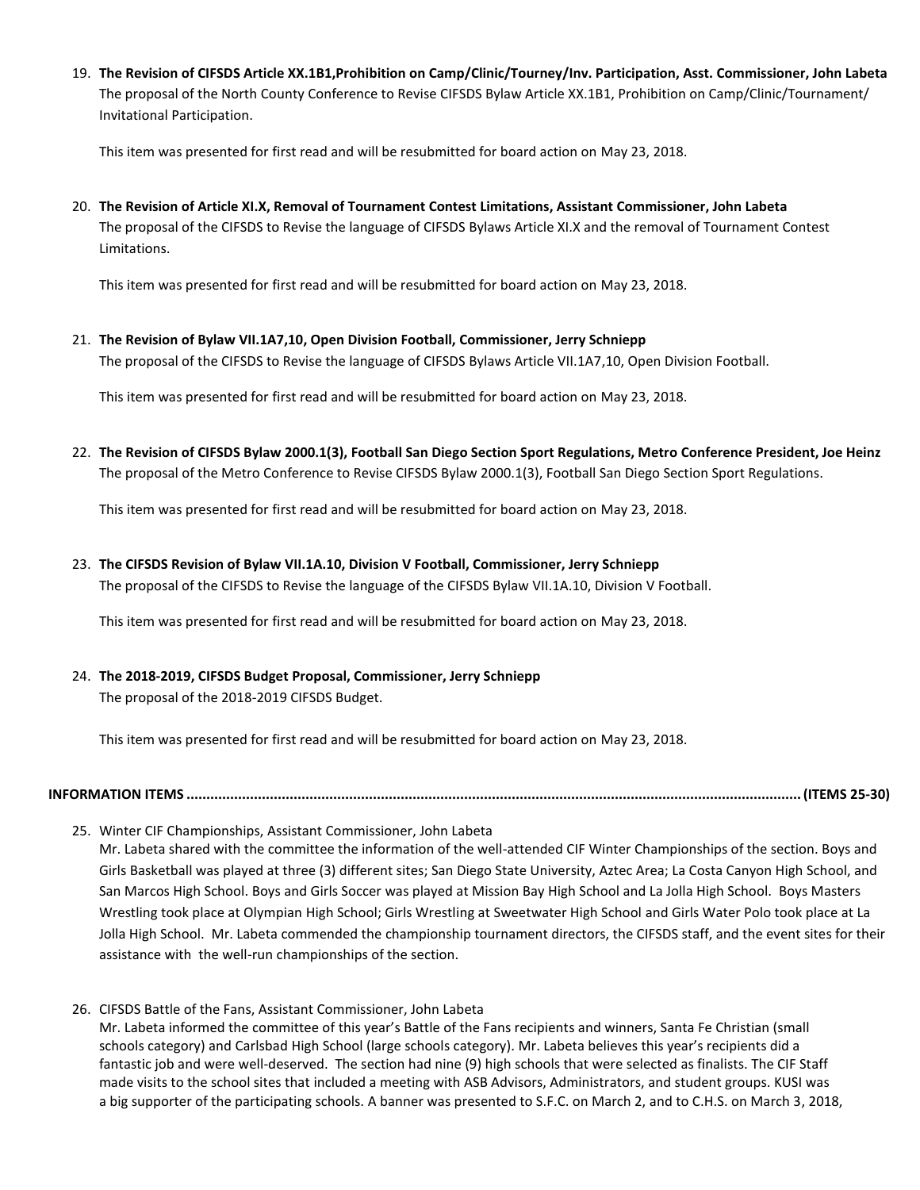19. **The Revision of CIFSDS Article XX.1B1,Prohibition on Camp/Clinic/Tourney/Inv. Participation, Asst. Commissioner, John Labeta** The proposal of the North County Conference to Revise CIFSDS Bylaw Article XX.1B1, Prohibition on Camp/Clinic/Tournament/ Invitational Participation.

This item was presented for first read and will be resubmitted for board action on May 23, 2018.

20. **The Revision of Article XI.X, Removal of Tournament Contest Limitations, Assistant Commissioner, John Labeta** The proposal of the CIFSDS to Revise the language of CIFSDS Bylaws Article XI.X and the removal of Tournament Contest Limitations.

This item was presented for first read and will be resubmitted for board action on May 23, 2018.

21. **The Revision of Bylaw VII.1A7,10, Open Division Football, Commissioner, Jerry Schniepp** The proposal of the CIFSDS to Revise the language of CIFSDS Bylaws Article VII.1A7,10, Open Division Football.

This item was presented for first read and will be resubmitted for board action on May 23, 2018.

22. **The Revision of CIFSDS Bylaw 2000.1(3), Football San Diego Section Sport Regulations, Metro Conference President, Joe Heinz** The proposal of the Metro Conference to Revise CIFSDS Bylaw 2000.1(3), Football San Diego Section Sport Regulations.

This item was presented for first read and will be resubmitted for board action on May 23, 2018.

23. **The CIFSDS Revision of Bylaw VII.1A.10, Division V Football, Commissioner, Jerry Schniepp**

The proposal of the CIFSDS to Revise the language of the CIFSDS Bylaw VII.1A.10, Division V Football.

This item was presented for first read and will be resubmitted for board action on May 23, 2018.

24. **The 2018-2019, CIFSDS Budget Proposal, Commissioner, Jerry Schniepp**

The proposal of the 2018-2019 CIFSDS Budget.

This item was presented for first read and will be resubmitted for board action on May 23, 2018.

**INFORMATION ITEMS ...........................................................................................................................................................(ITEMS 25-30)**

25. Winter CIF Championships, Assistant Commissioner, John Labeta

Mr. Labeta shared with the committee the information of the well-attended CIF Winter Championships of the section. Boys and Girls Basketball was played at three (3) different sites; San Diego State University, Aztec Area; La Costa Canyon High School, and San Marcos High School. Boys and Girls Soccer was played at Mission Bay High School and La Jolla High School. Boys Masters Wrestling took place at Olympian High School; Girls Wrestling at Sweetwater High School and Girls Water Polo took place at La Jolla High School. Mr. Labeta commended the championship tournament directors, the CIFSDS staff, and the event sites for their assistance with the well-run championships of the section.

26. CIFSDS Battle of the Fans, Assistant Commissioner, John Labeta Mr. Labeta informed the committee of this year's Battle of the Fans recipients and winners, Santa Fe Christian (small schools category) and Carlsbad High School (large schools category). Mr. Labeta believes this year's recipients did a fantastic job and were well-deserved. The section had nine (9) high schools that were selected as finalists. The CIF Staff made visits to the school sites that included a meeting with ASB Advisors, Administrators, and student groups. KUSI was a big supporter of the participating schools. A banner was presented to S.F.C. on March 2, and to C.H.S. on March 3, 2018,